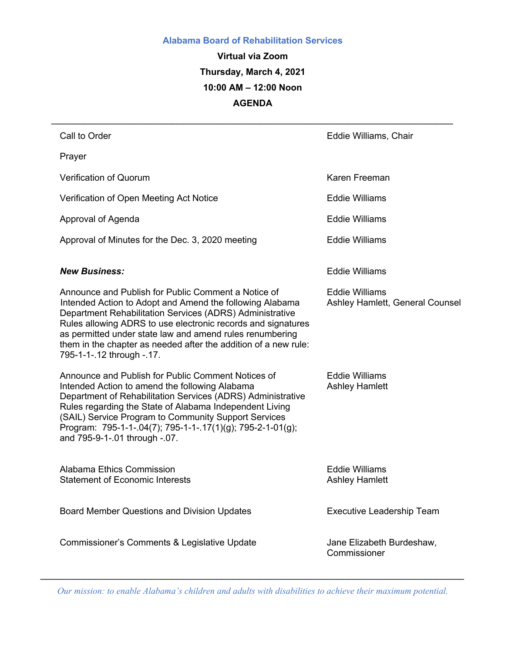#### **Alabama Board of Rehabilitation Services**

**Virtual via Zoom Thursday, March 4, 2021 10:00 AM – 12:00 Noon AGENDA** 

*\_\_\_\_\_\_\_\_\_\_\_\_\_\_\_\_\_\_\_\_\_\_\_\_\_\_\_\_\_\_\_\_\_\_\_\_\_\_\_\_\_\_\_\_\_\_\_\_\_\_\_\_\_\_\_\_\_\_\_\_\_\_\_\_\_\_\_\_\_\_\_\_\_*

| Call to Order                                                                                                                                                                                                                                                                                                                                                                                           | Eddie Williams, Chair                                    |
|---------------------------------------------------------------------------------------------------------------------------------------------------------------------------------------------------------------------------------------------------------------------------------------------------------------------------------------------------------------------------------------------------------|----------------------------------------------------------|
| Prayer                                                                                                                                                                                                                                                                                                                                                                                                  |                                                          |
| <b>Verification of Quorum</b>                                                                                                                                                                                                                                                                                                                                                                           | Karen Freeman                                            |
| Verification of Open Meeting Act Notice                                                                                                                                                                                                                                                                                                                                                                 | <b>Eddie Williams</b>                                    |
| Approval of Agenda                                                                                                                                                                                                                                                                                                                                                                                      | <b>Eddie Williams</b>                                    |
| Approval of Minutes for the Dec. 3, 2020 meeting                                                                                                                                                                                                                                                                                                                                                        | <b>Eddie Williams</b>                                    |
| <b>New Business:</b>                                                                                                                                                                                                                                                                                                                                                                                    | <b>Eddie Williams</b>                                    |
| Announce and Publish for Public Comment a Notice of<br>Intended Action to Adopt and Amend the following Alabama<br>Department Rehabilitation Services (ADRS) Administrative<br>Rules allowing ADRS to use electronic records and signatures<br>as permitted under state law and amend rules renumbering<br>them in the chapter as needed after the addition of a new rule:<br>795-1-1-.12 through -.17. | <b>Eddie Williams</b><br>Ashley Hamlett, General Counsel |
| Announce and Publish for Public Comment Notices of<br>Intended Action to amend the following Alabama<br>Department of Rehabilitation Services (ADRS) Administrative<br>Rules regarding the State of Alabama Independent Living<br>(SAIL) Service Program to Community Support Services<br>Program: 795-1-1-.04(7); 795-1-1-.17(1)(g); 795-2-1-01(g);<br>and 795-9-1-.01 through -.07.                   | <b>Eddie Williams</b><br><b>Ashley Hamlett</b>           |
| Alabama Ethics Commission<br><b>Statement of Economic Interests</b>                                                                                                                                                                                                                                                                                                                                     | <b>Eddie Williams</b><br><b>Ashley Hamlett</b>           |
| Board Member Questions and Division Updates                                                                                                                                                                                                                                                                                                                                                             | <b>Executive Leadership Team</b>                         |
| Commissioner's Comments & Legislative Update                                                                                                                                                                                                                                                                                                                                                            | Jane Elizabeth Burdeshaw,<br>Commissioner                |

*\_\_\_\_\_\_\_\_\_\_\_\_\_\_\_\_\_\_\_\_\_\_\_\_\_\_\_\_\_\_\_\_\_\_\_\_\_\_\_\_\_\_\_\_\_\_\_\_\_\_\_\_\_\_\_\_\_\_\_\_\_\_\_\_\_\_\_\_\_\_\_\_\_\_\_\_\_ Our mission: to enable Alabama's children and adults with disabilities to achieve their maximum potential.*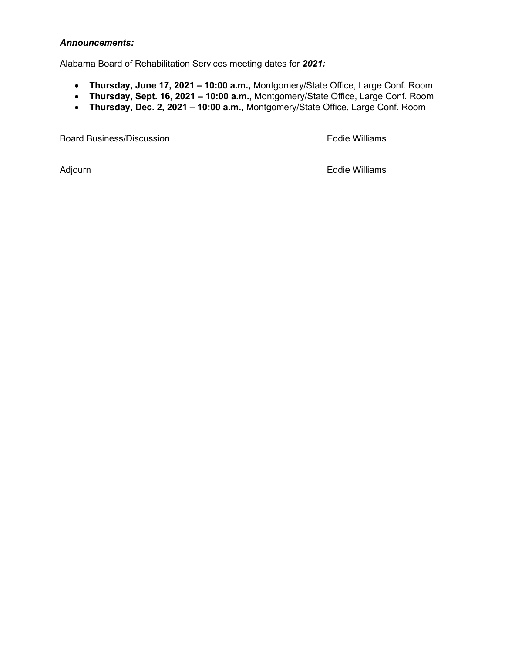#### *Announcements:*

Alabama Board of Rehabilitation Services meeting dates for *2021:*

- **Thursday, June 17, 2021 – 10:00 a.m.,** Montgomery/State Office, Large Conf. Room
- **Thursday, Sept. 16, 2021 – 10:00 a.m.,** Montgomery/State Office, Large Conf. Room
- **Thursday, Dec. 2, 2021 – 10:00 a.m.,** Montgomery/State Office, Large Conf. Room

Board Business/Discussion **Eddie Williams** 

Adjourn **Eddie Williams**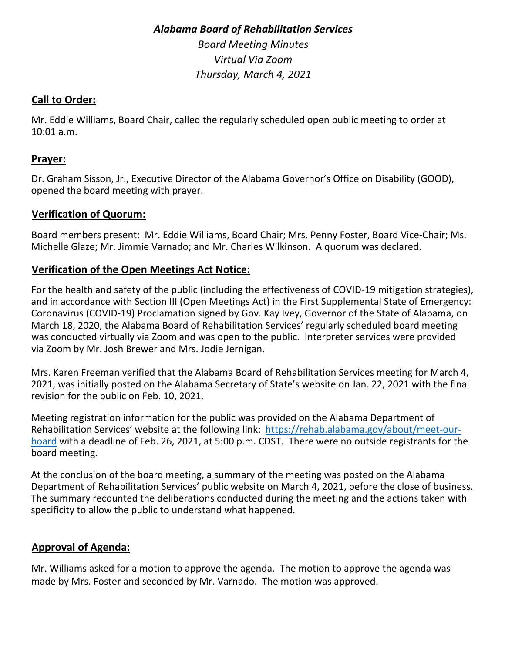# *Alabama Board of Rehabilitation Services Board Meeting Minutes Virtual Via Zoom Thursday, March 4, 2021*

#### **Call to Order:**

Mr. Eddie Williams, Board Chair, called the regularly scheduled open public meeting to order at 10:01 a.m.

#### **Prayer:**

Dr. Graham Sisson, Jr., Executive Director of the Alabama Governor's Office on Disability (GOOD), opened the board meeting with prayer.

## **Verification of Quorum:**

Board members present: Mr. Eddie Williams, Board Chair; Mrs. Penny Foster, Board Vice-Chair; Ms. Michelle Glaze; Mr. Jimmie Varnado; and Mr. Charles Wilkinson. A quorum was declared.

#### **Verification of the Open Meetings Act Notice:**

For the health and safety of the public (including the effectiveness of COVID-19 mitigation strategies), and in accordance with Section III (Open Meetings Act) in the First Supplemental State of Emergency: Coronavirus (COVID-19) Proclamation signed by Gov. Kay Ivey, Governor of the State of Alabama, on March 18, 2020, the Alabama Board of Rehabilitation Services' regularly scheduled board meeting was conducted virtually via Zoom and was open to the public. Interpreter services were provided via Zoom by Mr. Josh Brewer and Mrs. Jodie Jernigan.

Mrs. Karen Freeman verified that the Alabama Board of Rehabilitation Services meeting for March 4, 2021, was initially posted on the Alabama Secretary of State's website on Jan. 22, 2021 with the final revision for the public on Feb. 10, 2021.

Meeting registration information for the public was provided on the Alabama Department of Rehabilitation Services' website at the following link: https://rehab.alabama.gov/about/meet-ourboard with a deadline of Feb. 26, 2021, at 5:00 p.m. CDST. There were no outside registrants for the board meeting.

At the conclusion of the board meeting, a summary of the meeting was posted on the Alabama Department of Rehabilitation Services' public website on March 4, 2021, before the close of business. The summary recounted the deliberations conducted during the meeting and the actions taken with specificity to allow the public to understand what happened.

## **Approval of Agenda:**

Mr. Williams asked for a motion to approve the agenda. The motion to approve the agenda was made by Mrs. Foster and seconded by Mr. Varnado. The motion was approved.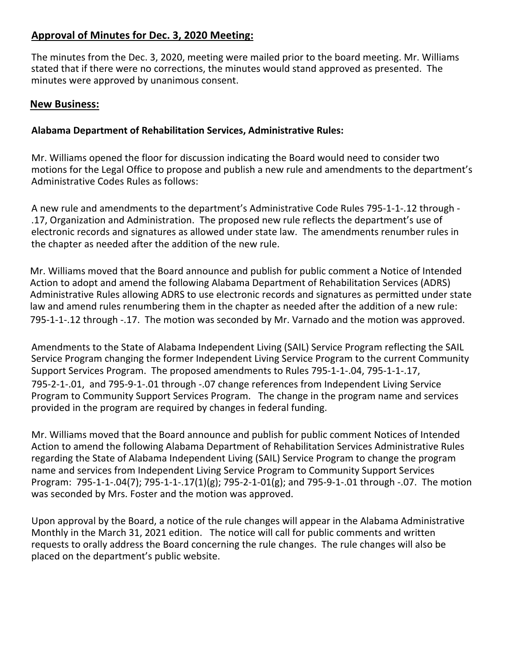# **Approval of Minutes for Dec. 3, 2020 Meeting:**

The minutes from the Dec. 3, 2020, meeting were mailed prior to the board meeting. Mr. Williams stated that if there were no corrections, the minutes would stand approved as presented. The minutes were approved by unanimous consent.

#### **New Business:**

#### **Alabama Department of Rehabilitation Services, Administrative Rules:**

Mr. Williams opened the floor for discussion indicating the Board would need to consider two motions for the Legal Office to propose and publish a new rule and amendments to the department's Administrative Codes Rules as follows:

A new rule and amendments to the department's Administrative Code Rules 795-1-1-.12 through - .17, Organization and Administration. The proposed new rule reflects the department's use of electronic records and signatures as allowed under state law. The amendments renumber rules in the chapter as needed after the addition of the new rule.

Mr. Williams moved that the Board announce and publish for public comment a Notice of Intended Action to adopt and amend the following Alabama Department of Rehabilitation Services (ADRS) Administrative Rules allowing ADRS to use electronic records and signatures as permitted under state law and amend rules renumbering them in the chapter as needed after the addition of a new rule: 795-1-1-.12 through -.17. The motion was seconded by Mr. Varnado and the motion was approved.

Amendments to the State of Alabama Independent Living (SAIL) Service Program reflecting the SAIL Service Program changing the former Independent Living Service Program to the current Community Support Services Program. The proposed amendments to Rules 795-1-1-.04, 795-1-1-.17, 795-2-1-.01, and 795-9-1-.01 through -.07 change references from Independent Living Service Program to Community Support Services Program. The change in the program name and services provided in the program are required by changes in federal funding.

Mr. Williams moved that the Board announce and publish for public comment Notices of Intended Action to amend the following Alabama Department of Rehabilitation Services Administrative Rules regarding the State of Alabama Independent Living (SAIL) Service Program to change the program name and services from Independent Living Service Program to Community Support Services Program: 795-1-1-.04(7); 795-1-1-.17(1)(g); 795-2-1-01(g); and 795-9-1-.01 through -.07. The motion was seconded by Mrs. Foster and the motion was approved.

Upon approval by the Board, a notice of the rule changes will appear in the Alabama Administrative Monthly in the March 31, 2021 edition. The notice will call for public comments and written requests to orally address the Board concerning the rule changes. The rule changes will also be placed on the department's public website.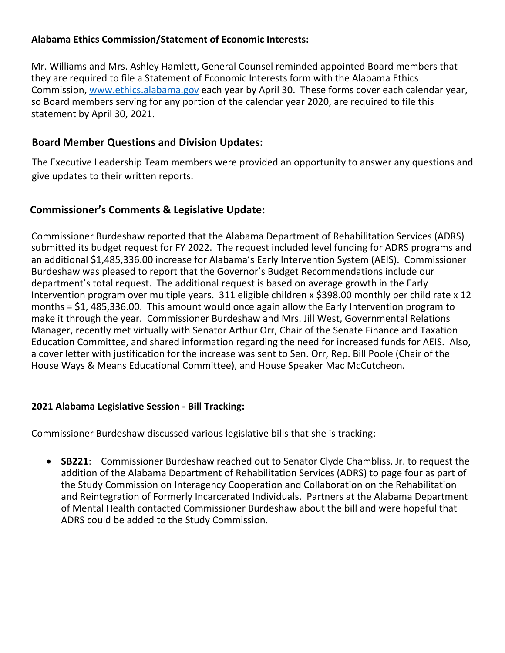#### **Alabama Ethics Commission/Statement of Economic Interests:**

Mr. Williams and Mrs. Ashley Hamlett, General Counsel reminded appointed Board members that they are required to file a Statement of Economic Interests form with the Alabama Ethics Commission, www.ethics.alabama.gov each year by April 30. These forms cover each calendar year, so Board members serving for any portion of the calendar year 2020, are required to file this statement by April 30, 2021.

#### **Board Member Questions and Division Updates:**

The Executive Leadership Team members were provided an opportunity to answer any questions and give updates to their written reports.

## **Commissioner's Comments & Legislative Update:**

Commissioner Burdeshaw reported that the Alabama Department of Rehabilitation Services (ADRS) submitted its budget request for FY 2022. The request included level funding for ADRS programs and an additional \$1,485,336.00 increase for Alabama's Early Intervention System (AEIS). Commissioner Burdeshaw was pleased to report that the Governor's Budget Recommendations include our department's total request. The additional request is based on average growth in the Early Intervention program over multiple years. 311 eligible children x \$398.00 monthly per child rate x 12 months = \$1, 485,336.00. This amount would once again allow the Early Intervention program to make it through the year. Commissioner Burdeshaw and Mrs. Jill West, Governmental Relations Manager, recently met virtually with Senator Arthur Orr, Chair of the Senate Finance and Taxation Education Committee, and shared information regarding the need for increased funds for AEIS. Also, a cover letter with justification for the increase was sent to Sen. Orr, Rep. Bill Poole (Chair of the House Ways & Means Educational Committee), and House Speaker Mac McCutcheon.

#### **2021 Alabama Legislative Session - Bill Tracking:**

Commissioner Burdeshaw discussed various legislative bills that she is tracking:

• **SB221**: Commissioner Burdeshaw reached out to Senator Clyde Chambliss, Jr. to request the addition of the Alabama Department of Rehabilitation Services (ADRS) to page four as part of the Study Commission on Interagency Cooperation and Collaboration on the Rehabilitation and Reintegration of Formerly Incarcerated Individuals. Partners at the Alabama Department of Mental Health contacted Commissioner Burdeshaw about the bill and were hopeful that ADRS could be added to the Study Commission.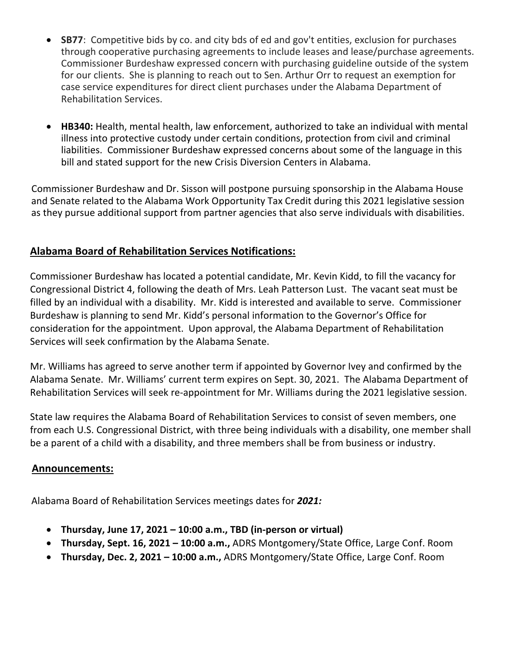- **SB77**: Competitive bids by co. and city bds of ed and gov't entities, exclusion for purchases through cooperative purchasing agreements to include leases and lease/purchase agreements. Commissioner Burdeshaw expressed concern with purchasing guideline outside of the system for our clients. She is planning to reach out to Sen. Arthur Orr to request an exemption for case service expenditures for direct client purchases under the Alabama Department of Rehabilitation Services.
- **HB340:** Health, mental health, law enforcement, authorized to take an individual with mental illness into protective custody under certain conditions, protection from civil and criminal liabilities. Commissioner Burdeshaw expressed concerns about some of the language in this bill and stated support for the new Crisis Diversion Centers in Alabama.

Commissioner Burdeshaw and Dr. Sisson will postpone pursuing sponsorship in the Alabama House and Senate related to the Alabama Work Opportunity Tax Credit during this 2021 legislative session as they pursue additional support from partner agencies that also serve individuals with disabilities.

# **Alabama Board of Rehabilitation Services Notifications:**

Commissioner Burdeshaw has located a potential candidate, Mr. Kevin Kidd, to fill the vacancy for Congressional District 4, following the death of Mrs. Leah Patterson Lust. The vacant seat must be filled by an individual with a disability. Mr. Kidd is interested and available to serve. Commissioner Burdeshaw is planning to send Mr. Kidd's personal information to the Governor's Office for consideration for the appointment. Upon approval, the Alabama Department of Rehabilitation Services will seek confirmation by the Alabama Senate.

Mr. Williams has agreed to serve another term if appointed by Governor Ivey and confirmed by the Alabama Senate. Mr. Williams' current term expires on Sept. 30, 2021. The Alabama Department of Rehabilitation Services will seek re-appointment for Mr. Williams during the 2021 legislative session.

State law requires the Alabama Board of Rehabilitation Services to consist of seven members, one from each U.S. Congressional District, with three being individuals with a disability, one member shall be a parent of a child with a disability, and three members shall be from business or industry.

#### **Announcements:**

Alabama Board of Rehabilitation Services meetings dates for *2021:*

- **Thursday, June 17, 2021 – 10:00 a.m., TBD (in-person or virtual)**
- **Thursday, Sept. 16, 2021 – 10:00 a.m.,** ADRS Montgomery/State Office, Large Conf. Room
- **Thursday, Dec. 2, 2021 – 10:00 a.m.,** ADRS Montgomery/State Office, Large Conf. Room